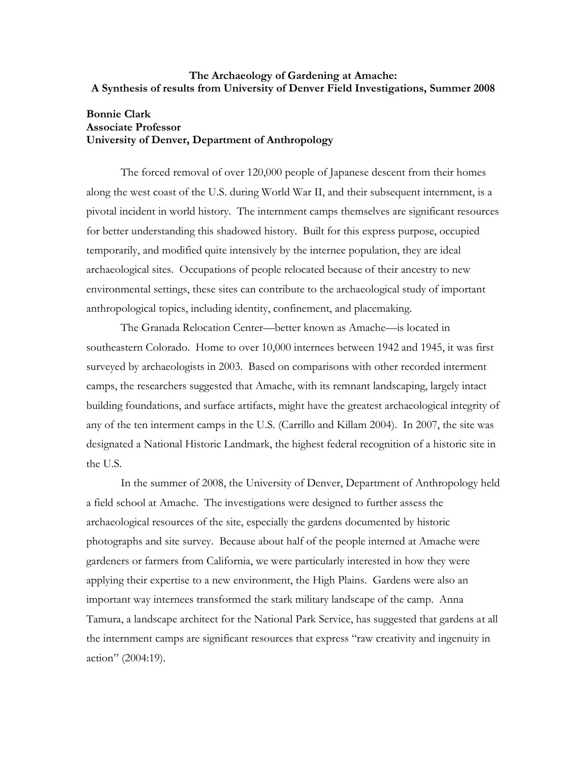## **The Archaeology of Gardening at Amache: A Synthesis of results from University of Denver Field Investigations, Summer 2008**

# **Bonnie Clark Associate Professor University of Denver, Department of Anthropology**

The forced removal of over 120,000 people of Japanese descent from their homes along the west coast of the U.S. during World War II, and their subsequent internment, is a pivotal incident in world history. The internment camps themselves are significant resources for better understanding this shadowed history. Built for this express purpose, occupied temporarily, and modified quite intensively by the internee population, they are ideal archaeological sites. Occupations of people relocated because of their ancestry to new environmental settings, these sites can contribute to the archaeological study of important anthropological topics, including identity, confinement, and placemaking.

The Granada Relocation Center—better known as Amache—is located in southeastern Colorado. Home to over 10,000 internees between 1942 and 1945, it was first surveyed by archaeologists in 2003. Based on comparisons with other recorded interment camps, the researchers suggested that Amache, with its remnant landscaping, largely intact building foundations, and surface artifacts, might have the greatest archaeological integrity of any of the ten interment camps in the U.S. (Carrillo and Killam 2004). In 2007, the site was designated a National Historic Landmark, the highest federal recognition of a historic site in the U.S.

In the summer of 2008, the University of Denver, Department of Anthropology held a field school at Amache. The investigations were designed to further assess the archaeological resources of the site, especially the gardens documented by historic photographs and site survey. Because about half of the people interned at Amache were gardeners or farmers from California, we were particularly interested in how they were applying their expertise to a new environment, the High Plains. Gardens were also an important way internees transformed the stark military landscape of the camp. Anna Tamura, a landscape architect for the National Park Service, has suggested that gardens at all the internment camps are significant resources that express "raw creativity and ingenuity in action" (2004:19).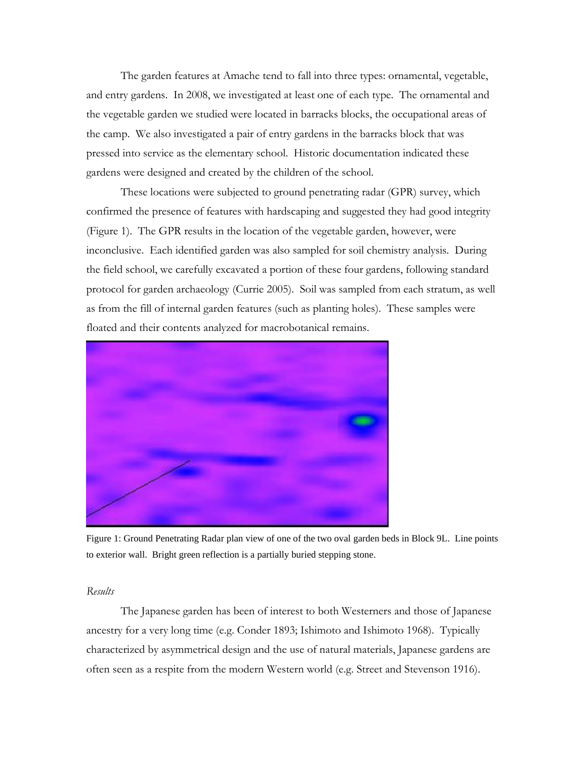The garden features at Amache tend to fall into three types: ornamental, vegetable, and entry gardens. In 2008, we investigated at least one of each type. The ornamental and the vegetable garden we studied were located in barracks blocks, the occupational areas of the camp. We also investigated a pair of entry gardens in the barracks block that was pressed into service as the elementary school. Historic documentation indicated these gardens were designed and created by the children of the school.

These locations were subjected to ground penetrating radar (GPR) survey, which confirmed the presence of features with hardscaping and suggested they had good integrity (Figure 1). The GPR results in the location of the vegetable garden, however, were inconclusive. Each identified garden was also sampled for soil chemistry analysis. During the field school, we carefully excavated a portion of these four gardens, following standard protocol for garden archaeology (Currie 2005). Soil was sampled from each stratum, as well as from the fill of internal garden features (such as planting holes). These samples were floated and their contents analyzed for macrobotanical remains.



Figure 1: Ground Penetrating Radar plan view of one of the two oval garden beds in Block 9L. Line points to exterior wall. Bright green reflection is a partially buried stepping stone.

## *Results*

The Japanese garden has been of interest to both Westerners and those of Japanese ancestry for a very long time (e.g. Conder 1893; Ishimoto and Ishimoto 1968). Typically characterized by asymmetrical design and the use of natural materials, Japanese gardens are often seen as a respite from the modern Western world (e.g. Street and Stevenson 1916).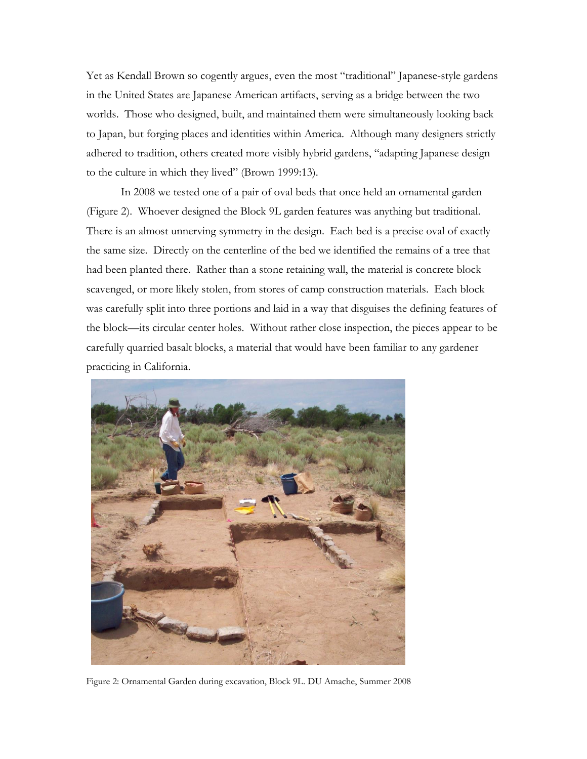Yet as Kendall Brown so cogently argues, even the most "traditional" Japanese-style gardens in the United States are Japanese American artifacts, serving as a bridge between the two worlds. Those who designed, built, and maintained them were simultaneously looking back to Japan, but forging places and identities within America. Although many designers strictly adhered to tradition, others created more visibly hybrid gardens, "adapting Japanese design to the culture in which they lived" (Brown 1999:13).

In 2008 we tested one of a pair of oval beds that once held an ornamental garden (Figure 2). Whoever designed the Block 9L garden features was anything but traditional. There is an almost unnerving symmetry in the design. Each bed is a precise oval of exactly the same size. Directly on the centerline of the bed we identified the remains of a tree that had been planted there. Rather than a stone retaining wall, the material is concrete block scavenged, or more likely stolen, from stores of camp construction materials. Each block was carefully split into three portions and laid in a way that disguises the defining features of the block—its circular center holes. Without rather close inspection, the pieces appear to be carefully quarried basalt blocks, a material that would have been familiar to any gardener practicing in California.



Figure 2: Ornamental Garden during excavation, Block 9L. DU Amache, Summer 2008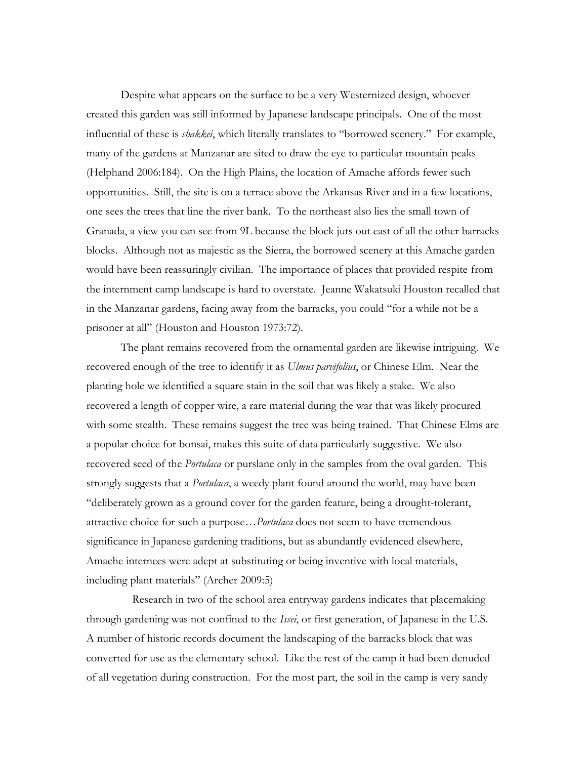Despite what appears on the surface to be a very Westernized design, whoever created this garden was still informed by Japanese landscape principals. One of the most influential of these is *shakkei*, which literally translates to "borrowed scenery." For example, many of the gardens at Manzanar are sited to draw the eye to particular mountain peaks (Helphand 2006:184). On the High Plains, the location of Amache affords fewer such opportunities. Still, the site is on a terrace above the Arkansas River and in a few locations, one sees the trees that line the river bank. To the northeast also lies the small town of Granada, a view you can see from 9L because the block juts out east of all the other barracks blocks. Although not as majestic as the Sierra, the borrowed scenery at this Amache garden would have been reassuringly civilian. The importance of places that provided respite from the internment camp landscape is hard to overstate. Jeanne Wakatsuki Houston recalled that in the Manzanar gardens, facing away from the barracks, you could "for a while not be a prisoner at all" (Houston and Houston 1973:72).

The plant remains recovered from the ornamental garden are likewise intriguing. We recovered enough of the tree to identify it as *Ulmus parvifolius*, or Chinese Elm. Near the planting hole we identified a square stain in the soil that was likely a stake. We also recovered a length of copper wire, a rare material during the war that was likely procured with some stealth. These remains suggest the tree was being trained. That Chinese Elms are a popular choice for bonsai, makes this suite of data particularly suggestive. We also recovered seed of the *Portulaca* or purslane only in the samples from the oval garden. This strongly suggests that a *Portulaca*, a weedy plant found around the world, may have been "deliberately grown as a ground cover for the garden feature, being a drought-tolerant, attractive choice for such a purpose…*Portulaca* does not seem to have tremendous significance in Japanese gardening traditions, but as abundantly evidenced elsewhere, Amache internees were adept at substituting or being inventive with local materials, including plant materials" (Archer 2009:5)

 Research in two of the school area entryway gardens indicates that placemaking through gardening was not confined to the *Issei*, or first generation, of Japanese in the U.S. A number of historic records document the landscaping of the barracks block that was converted for use as the elementary school. Like the rest of the camp it had been denuded of all vegetation during construction. For the most part, the soil in the camp is very sandy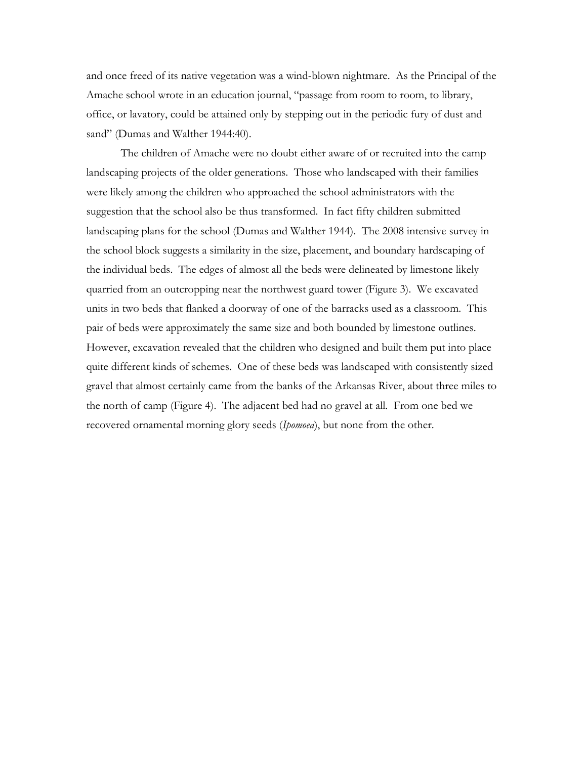and once freed of its native vegetation was a wind-blown nightmare. As the Principal of the Amache school wrote in an education journal, "passage from room to room, to library, office, or lavatory, could be attained only by stepping out in the periodic fury of dust and sand" (Dumas and Walther 1944:40).

The children of Amache were no doubt either aware of or recruited into the camp landscaping projects of the older generations. Those who landscaped with their families were likely among the children who approached the school administrators with the suggestion that the school also be thus transformed. In fact fifty children submitted landscaping plans for the school (Dumas and Walther 1944). The 2008 intensive survey in the school block suggests a similarity in the size, placement, and boundary hardscaping of the individual beds. The edges of almost all the beds were delineated by limestone likely quarried from an outcropping near the northwest guard tower (Figure 3). We excavated units in two beds that flanked a doorway of one of the barracks used as a classroom. This pair of beds were approximately the same size and both bounded by limestone outlines. However, excavation revealed that the children who designed and built them put into place quite different kinds of schemes. One of these beds was landscaped with consistently sized gravel that almost certainly came from the banks of the Arkansas River, about three miles to the north of camp (Figure 4). The adjacent bed had no gravel at all. From one bed we recovered ornamental morning glory seeds (*Ipomoea*), but none from the other.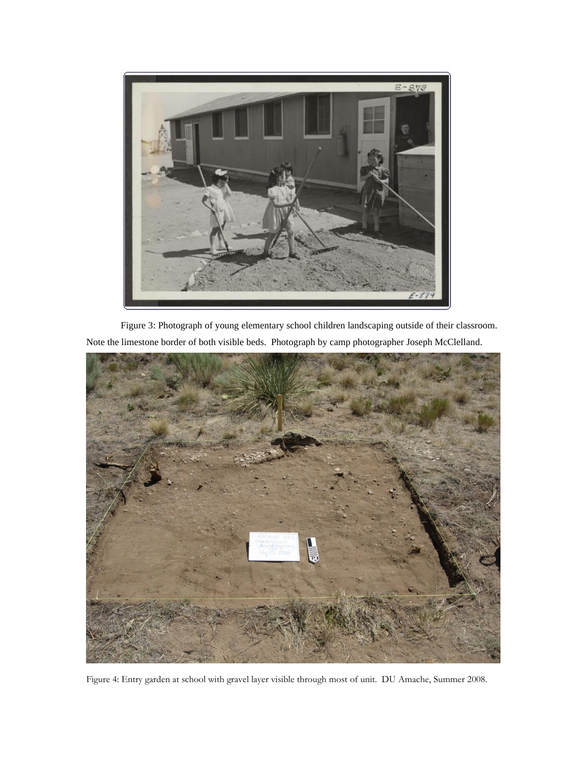

Figure 3: Photograph of young elementary school children landscaping outside of their classroom. Note the limestone border of both visible beds. Photograph by camp photographer Joseph McClelland.



Figure 4: Entry garden at school with gravel layer visible through most of unit. DU Amache, Summer 2008.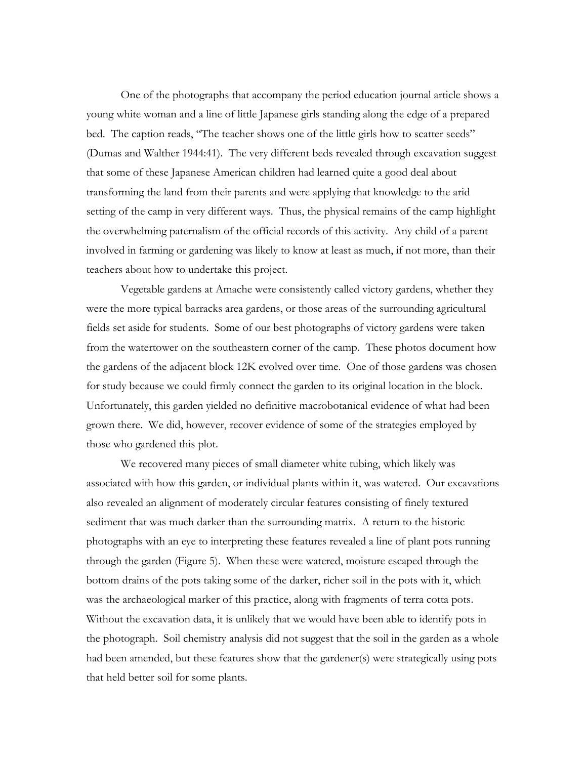One of the photographs that accompany the period education journal article shows a young white woman and a line of little Japanese girls standing along the edge of a prepared bed. The caption reads, "The teacher shows one of the little girls how to scatter seeds" (Dumas and Walther 1944:41). The very different beds revealed through excavation suggest that some of these Japanese American children had learned quite a good deal about transforming the land from their parents and were applying that knowledge to the arid setting of the camp in very different ways. Thus, the physical remains of the camp highlight the overwhelming paternalism of the official records of this activity. Any child of a parent involved in farming or gardening was likely to know at least as much, if not more, than their teachers about how to undertake this project.

Vegetable gardens at Amache were consistently called victory gardens, whether they were the more typical barracks area gardens, or those areas of the surrounding agricultural fields set aside for students. Some of our best photographs of victory gardens were taken from the watertower on the southeastern corner of the camp. These photos document how the gardens of the adjacent block 12K evolved over time. One of those gardens was chosen for study because we could firmly connect the garden to its original location in the block. Unfortunately, this garden yielded no definitive macrobotanical evidence of what had been grown there. We did, however, recover evidence of some of the strategies employed by those who gardened this plot.

We recovered many pieces of small diameter white tubing, which likely was associated with how this garden, or individual plants within it, was watered. Our excavations also revealed an alignment of moderately circular features consisting of finely textured sediment that was much darker than the surrounding matrix. A return to the historic photographs with an eye to interpreting these features revealed a line of plant pots running through the garden (Figure 5). When these were watered, moisture escaped through the bottom drains of the pots taking some of the darker, richer soil in the pots with it, which was the archaeological marker of this practice, along with fragments of terra cotta pots. Without the excavation data, it is unlikely that we would have been able to identify pots in the photograph. Soil chemistry analysis did not suggest that the soil in the garden as a whole had been amended, but these features show that the gardener(s) were strategically using pots that held better soil for some plants.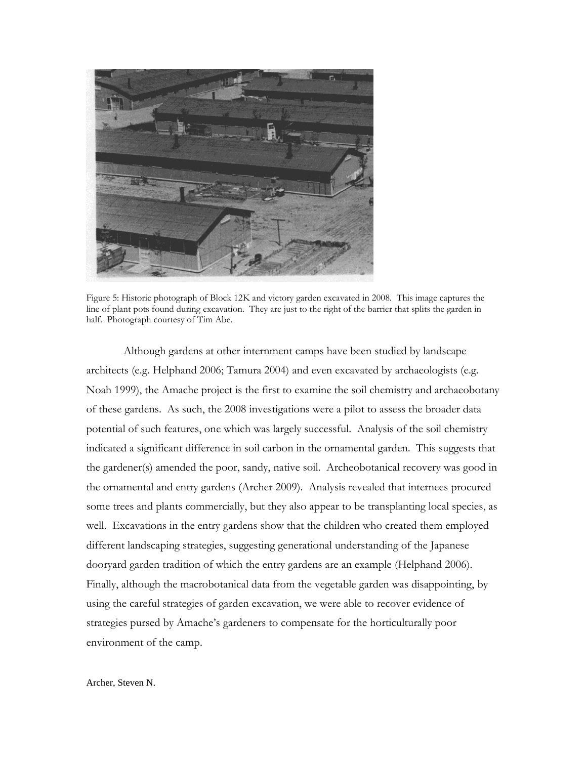

Figure 5: Historic photograph of Block 12K and victory garden excavated in 2008. This image captures the line of plant pots found during excavation. They are just to the right of the barrier that splits the garden in half. Photograph courtesy of Tim Abe.

Although gardens at other internment camps have been studied by landscape architects (e.g. Helphand 2006; Tamura 2004) and even excavated by archaeologists (e.g. Noah 1999), the Amache project is the first to examine the soil chemistry and archaeobotany of these gardens. As such, the 2008 investigations were a pilot to assess the broader data potential of such features, one which was largely successful. Analysis of the soil chemistry indicated a significant difference in soil carbon in the ornamental garden. This suggests that the gardener(s) amended the poor, sandy, native soil. Archeobotanical recovery was good in the ornamental and entry gardens (Archer 2009). Analysis revealed that internees procured some trees and plants commercially, but they also appear to be transplanting local species, as well. Excavations in the entry gardens show that the children who created them employed different landscaping strategies, suggesting generational understanding of the Japanese dooryard garden tradition of which the entry gardens are an example (Helphand 2006). Finally, although the macrobotanical data from the vegetable garden was disappointing, by using the careful strategies of garden excavation, we were able to recover evidence of strategies pursed by Amache's gardeners to compensate for the horticulturally poor environment of the camp.